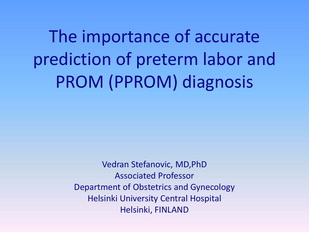The importance of accurate prediction of preterm labor and PROM (PPROM) diagnosis

> Vedran Stefanovic, MD,PhD Associated Professor Department of Obstetrics and Gynecology Helsinki University Central Hospital Helsinki, FINLAND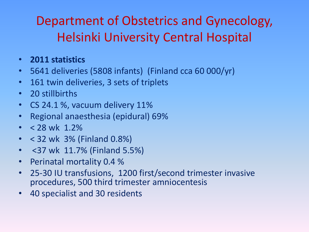#### Department of Obstetrics and Gynecology, Helsinki University Central Hospital

- **2011 statistics**
- 5641 deliveries (5808 infants) (Finland cca 60 000/yr)
- 161 twin deliveries, 3 sets of triplets
- 20 stillbirths
- CS 24.1 %, vacuum delivery 11%
- Regional anaesthesia (epidural) 69%
- $<$  28 wk 1.2%
- < 32 wk 3% (Finland 0.8%)
- <37 wk 11.7% (Finland 5.5%)
- Perinatal mortality 0.4 %
- 25-30 IU transfusions, 1200 first/second trimester invasive procedures, 500 third trimester amniocentesis
- 40 specialist and 30 residents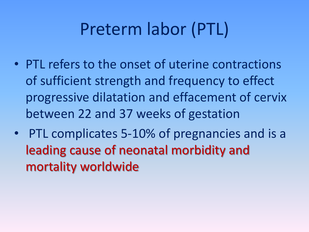### Preterm labor (PTL)

- PTL refers to the onset of uterine contractions of sufficient strength and frequency to effect progressive dilatation and effacement of cervix between 22 and 37 weeks of gestation
- PTL complicates 5-10% of pregnancies and is a leading cause of neonatal morbidity and mortality worldwide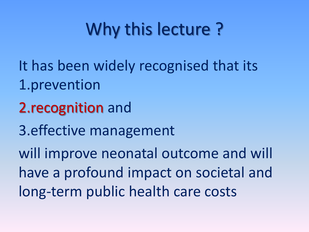# Why this lecture ?

- It has been widely recognised that its 1.prevention
- 2.recognition and
- 3.effective management

will improve neonatal outcome and will have a profound impact on societal and long-term public health care costs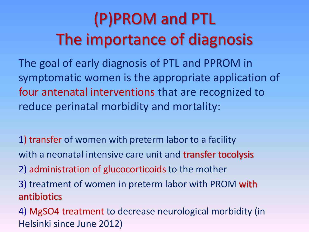## (P)PROM and PTL The importance of diagnosis

The goal of early diagnosis of PTL and PPROM in symptomatic women is the appropriate application of four antenatal interventions that are recognized to reduce perinatal morbidity and mortality:

1) transfer of women with preterm labor to a facility with a neonatal intensive care unit and transfer tocolysis

2) administration of glucocorticoids to the mother

3) treatment of women in preterm labor with PROM with antibiotics

4) MgSO4 treatment to decrease neurological morbidity (in Helsinki since June 2012)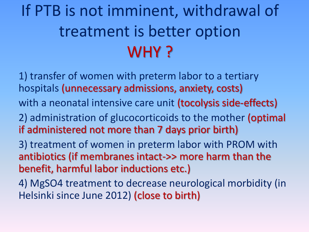## If PTB is not imminent, withdrawal of treatment is better option WHY?

- 1) transfer of women with preterm labor to a tertiary hospitals (unnecessary admissions, anxiety, costs)
- with a neonatal intensive care unit (tocolysis side-effects)
- 2) administration of glucocorticoids to the mother (optimal if administered not more than 7 days prior birth)
- 3) treatment of women in preterm labor with PROM with antibiotics (if membranes intact->> more harm than the benefit, harmful labor inductions etc.)
- 4) MgSO4 treatment to decrease neurological morbidity (in Helsinki since June 2012) (close to birth)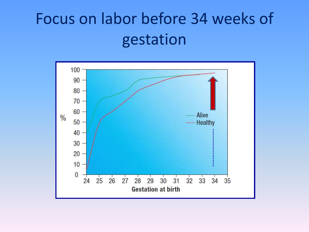#### Focus on labor before 34 weeks of gestation

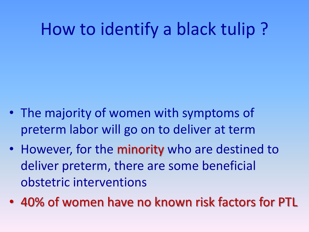### How to identify a black tulip ?

- The majority of women with symptoms of preterm labor will go on to deliver at term
- However, for the minority who are destined to deliver preterm, there are some beneficial obstetric interventions
- 40% of women have no known risk factors for PTL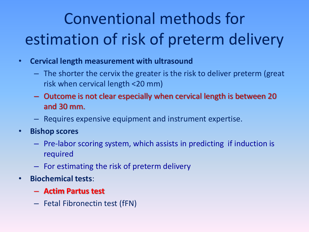## Conventional methods for estimation of risk of preterm delivery

- **Cervical length measurement with ultrasound**
	- The shorter the cervix the greater is the risk to deliver preterm (great risk when cervical length <20 mm)
	- Outcome is not clear especially when cervical length is between 20 and 30 mm.
	- Requires expensive equipment and instrument expertise.
- **Bishop scores**
	- Pre-labor scoring system, which assists in predicting if induction is required
	- For estimating the risk of preterm delivery
- **Biochemical tests**:
	- **Actim Partus test**
	- Fetal Fibronectin test (fFN)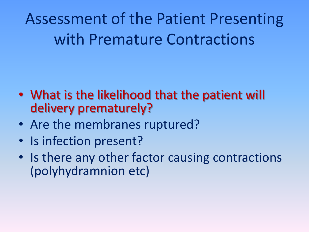Assessment of the Patient Presenting with Premature Contractions

- What is the likelihood that the patient will delivery prematurely?
- Are the membranes ruptured?
- Is infection present?
- Is there any other factor causing contractions (polyhydramnion etc)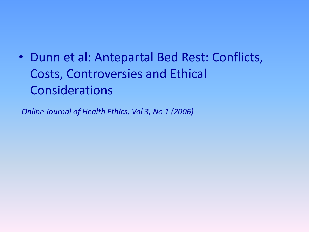• Dunn et al: Antepartal Bed Rest: Conflicts, Costs, Controversies and Ethical Considerations

*Online Journal of Health Ethics, Vol 3, No 1 (2006)*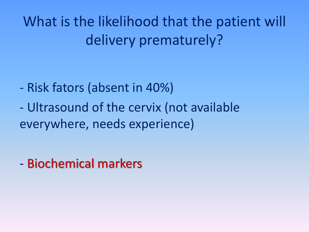What is the likelihood that the patient will delivery prematurely?

- Risk fators (absent in 40%)
- Ultrasound of the cervix (not available everywhere, needs experience)

- Biochemical markers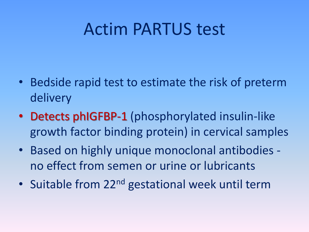#### Actim PARTUS test

- Bedside rapid test to estimate the risk of preterm delivery
- Detects phIGFBP-1 (phosphorylated insulin-like growth factor binding protein) in cervical samples
- Based on highly unique monoclonal antibodies no effect from semen or urine or lubricants
- Suitable from 22<sup>nd</sup> gestational week until term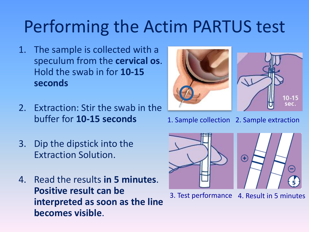### Performing the Actim PARTUS test

- 1. The sample is collected with a speculum from the **cervical os**. Hold the swab in for **10-15 seconds**
- 2. Extraction: Stir the swab in the buffer for **10-15 seconds**
- 3. Dip the dipstick into the Extraction Solution.
- 4. Read the results **in 5 minutes**. **Positive result can be interpreted as soon as the line becomes visible**.



1. Sample collection 2. Sample extraction



3. Test performance 4. Result in 5 minutes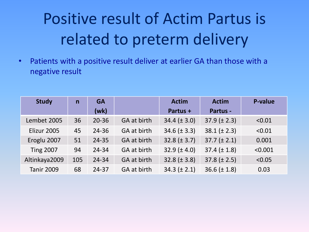#### Positive result of Actim Partus is related to preterm delivery

• Patients with a positive result deliver at earlier GA than those with a negative result

| <b>Study</b>      | $\mathsf{n}$ | <b>GA</b> |                    | <b>Actim</b>      | <b>Actim</b>     | <b>P-value</b> |
|-------------------|--------------|-----------|--------------------|-------------------|------------------|----------------|
|                   |              | (wk)      |                    | Partus +          | Partus -         |                |
| Lembet 2005       | 36           | $20 - 36$ | GA at birth        | $34.4 (\pm 3.0)$  | $37.9 (\pm 2.3)$ | < 0.01         |
| Elizur 2005       | 45           | $24 - 36$ | GA at birth        | $34.6 (\pm 3.3)$  | $38.1 (\pm 2.3)$ | < 0.01         |
| Eroglu 2007       | 51           | $24 - 35$ | <b>GA at birth</b> | $32.8 (\pm 3.7)$  | $37.7 (\pm 2.1)$ | 0.001          |
| <b>Ting 2007</b>  | 94           | $24 - 34$ | GA at birth        | 32.9 ( $\pm$ 4.0) | $37.4 (\pm 1.8)$ | < 0.001        |
| Altinkaya2009     | 105          | 24-34     | GA at birth        | 32.8 $(\pm 3.8)$  | $37.8 (\pm 2.5)$ | < 0.05         |
| <b>Tanir 2009</b> | 68           | $24 - 37$ | GA at birth        | $34.3 (\pm 2.1)$  | $36.6 (\pm 1.8)$ | 0.03           |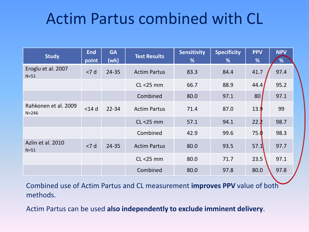#### Actim Partus combined with CL

| <b>Study</b>                      | <b>End</b><br>point | <b>GA</b><br>(wk) | <b>Test Results</b> | <b>Sensitivity</b><br>% | <b>Specificity</b><br>% | <b>PPV</b><br>% | <b>NPV</b><br>% |  |
|-----------------------------------|---------------------|-------------------|---------------------|-------------------------|-------------------------|-----------------|-----------------|--|
| Eroglu et al. 2007<br>$N=51$      | < 7 d               | 24-35             | <b>Actim Partus</b> | 83.3                    | 84.4                    | 41.7            | 97.4            |  |
|                                   |                     |                   | $CL < 25$ mm        | 66.7                    | 88.9                    | 44.4            | 95.2            |  |
|                                   |                     |                   | Combined            | 80.0                    | 97.1                    | 80              | 97.1            |  |
| Rahkonen et al. 2009<br>$N = 246$ | $<$ 14 $d$          | $22 - 34$         | <b>Actim Partus</b> | 71.4                    | 87.0                    | 13.9            | 99              |  |
|                                   |                     |                   | $CL < 25$ mm        | 57.1                    | 94.1                    | 22.2            | 98.7            |  |
|                                   |                     |                   | Combined            | 42.9                    | 99.6                    | 75.0            | 98.3            |  |
| Azlin et al. 2010<br>$N=51$       | < 7 d               | 24-35             | <b>Actim Partus</b> | 80.0                    | 93.5                    | 57.1            | 97.7            |  |
|                                   |                     |                   | $CL < 25$ mm        | 80.0                    | 71.7                    | 23.5            | 97.1            |  |
|                                   |                     |                   | Combined            | 80.0                    | 97.8                    | 80.0            | 97.8            |  |

Combined use of Actim Partus and CL measurement **improves PPV** value of both methods.

Actim Partus can be used **also independently to exclude imminent delivery**.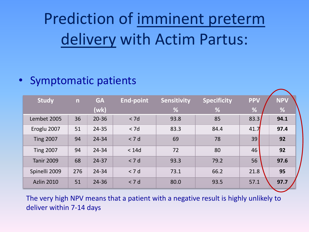### Prediction of imminent preterm delivery with Actim Partus:

#### • Symptomatic patients

| <b>Study</b>      | n   | <b>GA</b> | <b>End-point</b> | <b>Sensitivity</b> | <b>Specificity</b> | <b>PPV</b> | <b>NPV</b> |
|-------------------|-----|-----------|------------------|--------------------|--------------------|------------|------------|
|                   |     | (wk)      |                  | %                  | %                  | %          | %          |
| Lembet 2005       | 36  | 20-36     | < 7d             | 93.8               | 85                 | 83.3       | 94.1       |
| Eroglu 2007       | 51  | 24-35     | < 7d             | 83.3               | 84.4               | 41.7       | 97.4       |
| <b>Ting 2007</b>  | 94  | 24-34     | < 7d             | 69                 | 78                 | 39         | 92         |
| <b>Ting 2007</b>  | 94  | 24-34     | < 14d            | 72                 | 80                 | 46         | 92         |
| <b>Tanir 2009</b> | 68  | $24 - 37$ | < 7 d            | 93.3               | 79.2               | 56         | 97.6       |
| Spinelli 2009     | 276 | 24-34     | < 7 d            | 73.1               | 66.2               | 21.8       | 95         |
| <b>Azlin 2010</b> | 51  | 24-36     | < 7 d            | 80.0               | 93.5               | 57.1       | 97.7       |

The very high NPV means that a patient with a negative result is highly unlikely to deliver within 7-14 days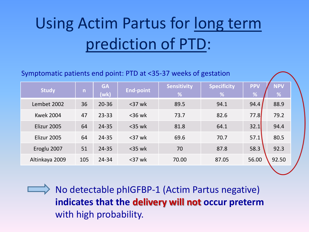### Using Actim Partus for long term prediction of PTD:

#### Symptomatic patients end point: PTD at <35-37 weeks of gestation

| <b>Study</b>     | $\mathsf{n}$ | <b>GA</b><br>(wk) | <b>End-point</b> | <b>Sensitivity</b><br>% | <b>Specificity</b><br>$\frac{9}{6}$ | <b>PPV</b><br>% | <b>NPV</b><br>% |  |
|------------------|--------------|-------------------|------------------|-------------------------|-------------------------------------|-----------------|-----------------|--|
| Lembet 2002      | 36           | $20 - 36$         | $37$ wk          | 89.5                    | 94.1                                | 94.4            | 88.9            |  |
| <b>Kwek 2004</b> | 47           | $23 - 33$         | $<$ 36 wk        | 73.7                    | 82.6                                | 77.8            | 79.2            |  |
| Elizur 2005      | 64           | $24 - 35$         | $<$ 35 wk        | 81.8                    | 64.1                                | 32.1            | 94.4            |  |
| Elizur 2005      | 64           | 24-35             | $<$ 37 wk        | 69.6                    | 70.7                                | 57.1            | 80.5            |  |
| Eroglu 2007      | 51           | $24 - 35$         | $<$ 35 wk        | 70                      | 87.8                                | 58.3            | 92.3            |  |
| Altinkaya 2009   | 105          | 24-34             | $37$ wk          | 70.00                   | 87.05                               | 56.00           | 92.50           |  |

 $\implies$  No detectable phIGFBP-1 (Actim Partus negative) **indicates that the delivery will not occur preterm**  with high probability.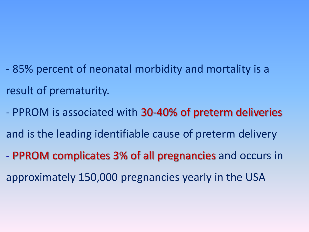- 85% percent of neonatal morbidity and mortality is a result of prematurity.
- PPROM is associated with 30-40% of preterm deliveries and is the leading identifiable cause of preterm delivery
- PPROM complicates 3% of all pregnancies and occurs in approximately 150,000 pregnancies yearly in the USA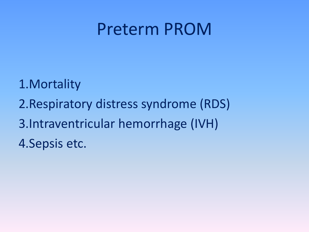#### Preterm PROM

- 1.Mortality
- 2.Respiratory distress syndrome (RDS)
- 3.Intraventricular hemorrhage (IVH)
- 4.Sepsis etc.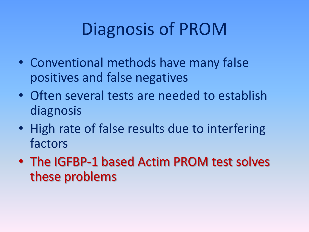## Diagnosis of PROM

- Conventional methods have many false positives and false negatives
- Often several tests are needed to establish diagnosis
- High rate of false results due to interfering factors
- The IGFBP-1 based Actim PROM test solves these problems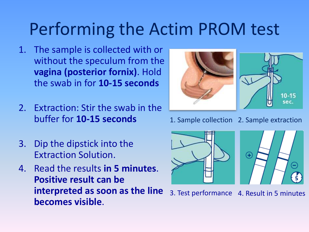### Performing the Actim PROM test

- 1. The sample is collected with or without the speculum from the **vagina (posterior fornix)**. Hold the swab in for **10-15 seconds**
- 2. Extraction: Stir the swab in the buffer for **10-15 seconds**
- 3. Dip the dipstick into the Extraction Solution.
- 4. Read the results **in 5 minutes**. **Positive result can be interpreted as soon as the line becomes visible**.



1. Sample collection 2. Sample extraction



3. Test performance 4. Result in 5 minutes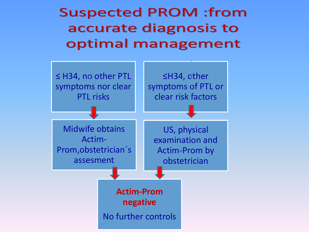**Suspected PROM :from** accurate diagnosis to optimal management

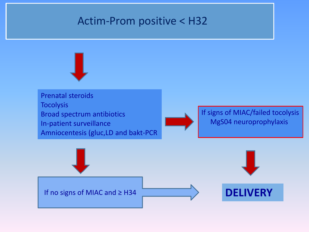#### Actim-Prom positive < H32

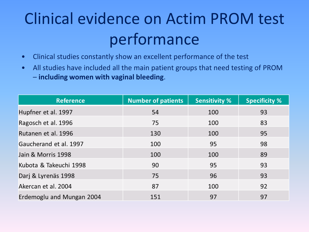#### Clinical evidence on Actim PROM test performance

- Clinical studies constantly show an excellent performance of the test
- All studies have included all the main patient groups that need testing of PROM – **including women with vaginal bleeding**.

| <b>Reference</b>          | <b>Number of patients</b> | <b>Sensitivity %</b> | <b>Specificity %</b> |
|---------------------------|---------------------------|----------------------|----------------------|
| Hupfner et al. 1997       | 54                        | 100                  | 93                   |
| Ragosch et al. 1996       | 75                        | 100                  | 83                   |
| Rutanen et al. 1996       | 130                       | 100                  | 95                   |
| Gaucherand et al. 1997    | 100                       | 95                   | 98                   |
| Jain & Morris 1998        | 100                       | 100                  | 89                   |
| Kubota & Takeuchi 1998    | 90                        | 95                   | 93                   |
| Darj & Lyrenäs 1998       | 75                        | 96                   | 93                   |
| Akercan et al. 2004       | 87                        | 100                  | 92                   |
| Erdemoglu and Mungan 2004 | 151                       | 97                   | 97                   |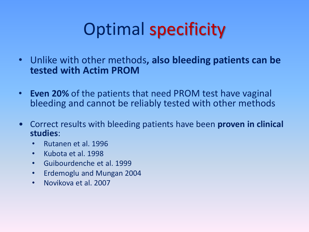# Optimal specificity

- Unlike with other methods**, also bleeding patients can be tested with Actim PROM**
- **Even 20%** of the patients that need PROM test have vaginal bleeding and cannot be reliably tested with other methods
- Correct results with bleeding patients have been **proven in clinical studies**:
	- Rutanen et al. 1996
	- Kubota et al. 1998
	- Guibourdenche et al. 1999
	- Erdemoglu and Mungan 2004
	- Novikova et al. 2007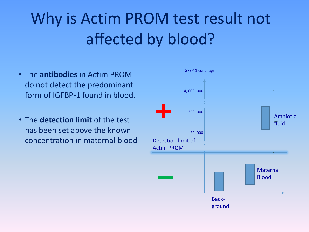### Why is Actim PROM test result not affected by blood?

- The **antibodies** in Actim PROM do not detect the predominant form of IGFBP-1 found in blood.
- The **detection limit** of the test has been set above the known concentration in maternal blood

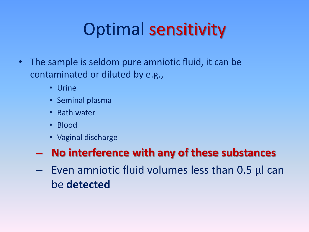# Optimal sensitivity

- The sample is seldom pure amniotic fluid, it can be contaminated or diluted by e.g.,
	- Urine
	- Seminal plasma
	- Bath water
	- Blood
	- Vaginal discharge

#### – **No interference with any of these substances**

– Even amniotic fluid volumes less than 0.5 µl can be **detected**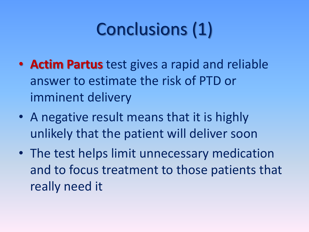# Conclusions (1)

- **Actim Partus** test gives a rapid and reliable answer to estimate the risk of PTD or imminent delivery
- A negative result means that it is highly unlikely that the patient will deliver soon
- The test helps limit unnecessary medication and to focus treatment to those patients that really need it